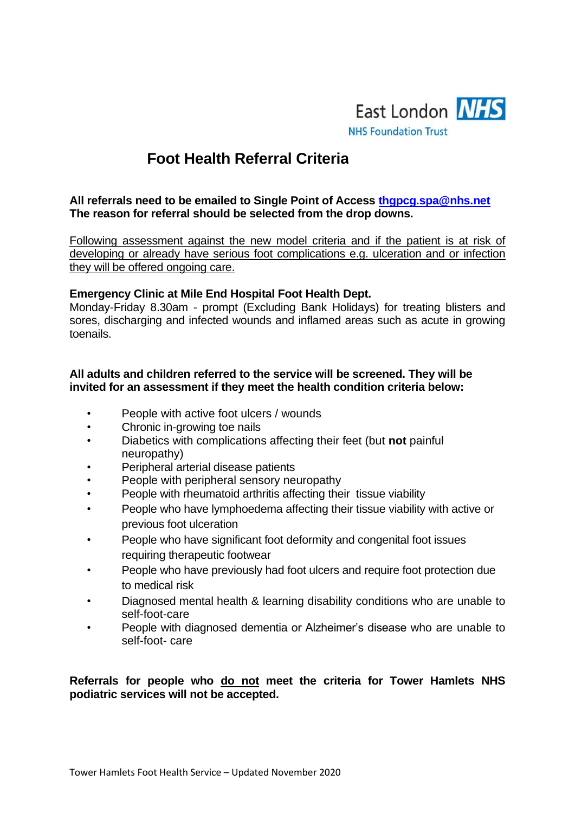

# **Foot Health Referral Criteria**

#### **All referrals need to be emailed to Single Point of Access [thgpcg.spa@nhs.net](mailto:thgpcg.spa@nhs.net)  The reason for referral should be selected from the drop downs.**

Following assessment against the new model criteria and if the patient is at risk of developing or already have serious foot complications e.g. ulceration and or infection they will be offered ongoing care.

### **Emergency Clinic at Mile End Hospital Foot Health Dept.**

Monday-Friday 8.30am - prompt (Excluding Bank Holidays) for treating blisters and sores, discharging and infected wounds and inflamed areas such as acute in growing toenails.

#### **All adults and children referred to the service will be screened. They will be invited for an assessment if they meet the health condition criteria below:**

- People with active foot ulcers / wounds
- Chronic in-growing toe nails
- Diabetics with complications affecting their feet (but **not** painful neuropathy)
- Peripheral arterial disease patients
- People with peripheral sensory neuropathy
- People with rheumatoid arthritis affecting their tissue viability
- People who have lymphoedema affecting their tissue viability with active or previous foot ulceration
- People who have significant foot deformity and congenital foot issues requiring therapeutic footwear
- People who have previously had foot ulcers and require foot protection due to medical risk
- Diagnosed mental health & learning disability conditions who are unable to self-foot-care
- People with diagnosed dementia or Alzheimer's disease who are unable to self-foot- care

**Referrals for people who do not meet the criteria for Tower Hamlets NHS podiatric services will not be accepted.**